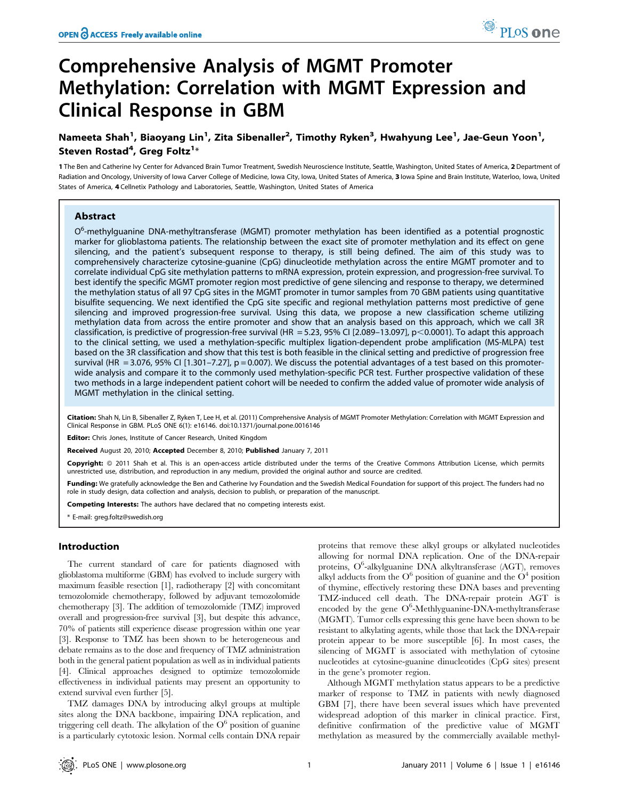# Comprehensive Analysis of MGMT Promoter Methylation: Correlation with MGMT Expression and Clinical Response in GBM

## Nameeta Shah<sup>1</sup>, Biaoyang Lin<sup>1</sup>, Zita Sibenaller<sup>2</sup>, Timothy Ryken<sup>3</sup>, Hwahyung Lee<sup>1</sup>, Jae-Geun Yoon<sup>1</sup>, Steven Rostad<sup>4</sup>, Greg Foltz<sup>1</sup>\*

1 The Ben and Catherine Ivy Center for Advanced Brain Tumor Treatment, Swedish Neuroscience Institute, Seattle, Washington, United States of America, 2 Department of Radiation and Oncology, University of Iowa Carver College of Medicine, Iowa City, Iowa, United States of America, 3 Iowa Spine and Brain Institute, Waterloo, Iowa, United States of America, 4 Cellnetix Pathology and Laboratories, Seattle, Washington, United States of America

## Abstract

O<sup>6</sup>-methylguanine DNA-methyltransferase (MGMT) promoter methylation has been identified as a potential prognostic marker for glioblastoma patients. The relationship between the exact site of promoter methylation and its effect on gene silencing, and the patient's subsequent response to therapy, is still being defined. The aim of this study was to comprehensively characterize cytosine-guanine (CpG) dinucleotide methylation across the entire MGMT promoter and to correlate individual CpG site methylation patterns to mRNA expression, protein expression, and progression-free survival. To best identify the specific MGMT promoter region most predictive of gene silencing and response to therapy, we determined the methylation status of all 97 CpG sites in the MGMT promoter in tumor samples from 70 GBM patients using quantitative bisulfite sequencing. We next identified the CpG site specific and regional methylation patterns most predictive of gene silencing and improved progression-free survival. Using this data, we propose a new classification scheme utilizing methylation data from across the entire promoter and show that an analysis based on this approach, which we call 3R classification, is predictive of progression-free survival (HR = 5.23, 95% CI [2.089–13.097], p<0.0001). To adapt this approach to the clinical setting, we used a methylation-specific multiplex ligation-dependent probe amplification (MS-MLPA) test based on the 3R classification and show that this test is both feasible in the clinical setting and predictive of progression free survival (HR = 3.076, 95% CI [1.301-7.27],  $p = 0.007$ ). We discuss the potential advantages of a test based on this promoterwide analysis and compare it to the commonly used methylation-specific PCR test. Further prospective validation of these two methods in a large independent patient cohort will be needed to confirm the added value of promoter wide analysis of MGMT methylation in the clinical setting.

Citation: Shah N, Lin B, Sibenaller Z, Ryken T, Lee H, et al. (2011) Comprehensive Analysis of MGMT Promoter Methylation: Correlation with MGMT Expression and Clinical Response in GBM. PLoS ONE 6(1): e16146. doi:10.1371/journal.pone.0016146

Editor: Chris Jones, Institute of Cancer Research, United Kingdom

Received August 20, 2010; Accepted December 8, 2010; Published January 7, 2011

Copyright: © 2011 Shah et al. This is an open-access article distributed under the terms of the Creative Commons Attribution License, which permits unrestricted use, distribution, and reproduction in any medium, provided the original author and source are credited.

Funding: We gratefully acknowledge the Ben and Catherine Ivy Foundation and the Swedish Medical Foundation for support of this project. The funders had no role in study design, data collection and analysis, decision to publish, or preparation of the manuscript.

Competing Interests: The authors have declared that no competing interests exist.

\* E-mail: greg.foltz@swedish.org

## Introduction

The current standard of care for patients diagnosed with glioblastoma multiforme (GBM) has evolved to include surgery with maximum feasible resection [1], radiotherapy [2] with concomitant temozolomide chemotherapy, followed by adjuvant temozolomide chemotherapy [3]. The addition of temozolomide (TMZ) improved overall and progression-free survival [3], but despite this advance, 70% of patients still experience disease progression within one year [3]. Response to TMZ has been shown to be heterogeneous and debate remains as to the dose and frequency of TMZ administration both in the general patient population as well as in individual patients [4]. Clinical approaches designed to optimize temozolomide effectiveness in individual patients may present an opportunity to extend survival even further [5].

TMZ damages DNA by introducing alkyl groups at multiple sites along the DNA backbone, impairing DNA replication, and triggering cell death. The alkylation of the  $O<sup>6</sup>$  position of guanine is a particularly cytotoxic lesion. Normal cells contain DNA repair proteins that remove these alkyl groups or alkylated nucleotides allowing for normal DNA replication. One of the DNA-repair proteins, O<sup>6</sup>-alkylguanine DNA alkyltransferase (AGT), removes alkyl adducts from the  $O^6$  position of guanine and the  $O^4$  position of thymine, effectively restoring these DNA bases and preventing TMZ-induced cell death. The DNA-repair protein AGT is encoded by the gene  $O^6$ -Methlyguanine-DNA-methyltransferase (MGMT). Tumor cells expressing this gene have been shown to be resistant to alkylating agents, while those that lack the DNA-repair protein appear to be more susceptible [6]. In most cases, the silencing of MGMT is associated with methylation of cytosine nucleotides at cytosine-guanine dinucleotides (CpG sites) present in the gene's promoter region.

Although MGMT methylation status appears to be a predictive marker of response to TMZ in patients with newly diagnosed GBM [7], there have been several issues which have prevented widespread adoption of this marker in clinical practice. First, definitive confirmation of the predictive value of MGMT methylation as measured by the commercially available methyl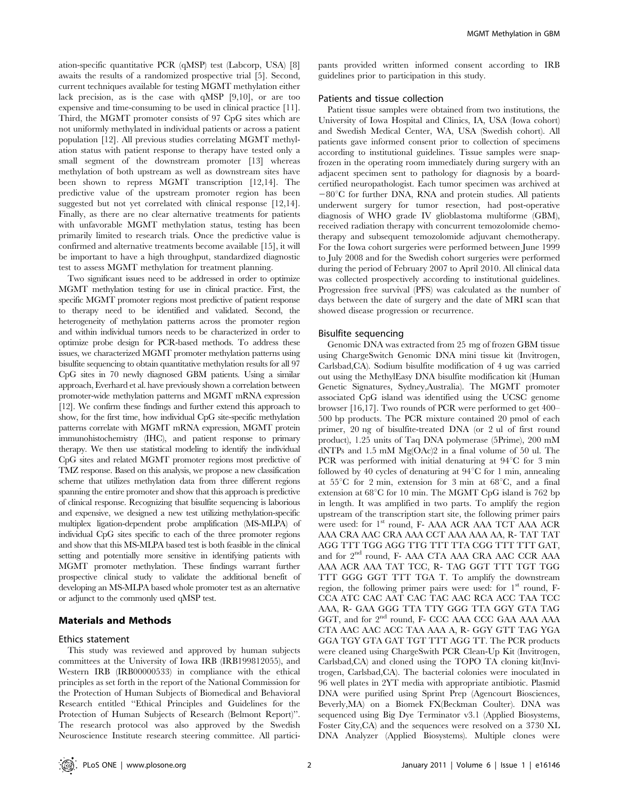ation-specific quantitative PCR (qMSP) test (Labcorp, USA) [8] awaits the results of a randomized prospective trial [5]. Second, current techniques available for testing MGMT methylation either lack precision, as is the case with qMSP [9,10], or are too expensive and time-consuming to be used in clinical practice [11]. Third, the MGMT promoter consists of 97 CpG sites which are not uniformly methylated in individual patients or across a patient population [12]. All previous studies correlating MGMT methylation status with patient response to therapy have tested only a small segment of the downstream promoter [13] whereas methylation of both upstream as well as downstream sites have been shown to repress MGMT transcription [12,14]. The predictive value of the upstream promoter region has been suggested but not yet correlated with clinical response [12,14]. Finally, as there are no clear alternative treatments for patients with unfavorable MGMT methylation status, testing has been primarily limited to research trials. Once the predictive value is confirmed and alternative treatments become available [15], it will be important to have a high throughput, standardized diagnostic test to assess MGMT methylation for treatment planning.

Two significant issues need to be addressed in order to optimize MGMT methylation testing for use in clinical practice. First, the specific MGMT promoter regions most predictive of patient response to therapy need to be identified and validated. Second, the heterogeneity of methylation patterns across the promoter region and within individual tumors needs to be characterized in order to optimize probe design for PCR-based methods. To address these issues, we characterized MGMT promoter methylation patterns using bisulfite sequencing to obtain quantitative methylation results for all 97 CpG sites in 70 newly diagnosed GBM patients. Using a similar approach, Everhard et al. have previously shown a correlation between promoter-wide methylation patterns and MGMT mRNA expression [12]. We confirm these findings and further extend this approach to show, for the first time, how individual CpG site-specific methylation patterns correlate with MGMT mRNA expression, MGMT protein immunohistochemistry (IHC), and patient response to primary therapy. We then use statistical modeling to identify the individual CpG sites and related MGMT promoter regions most predictive of TMZ response. Based on this analysis, we propose a new classification scheme that utilizes methylation data from three different regions spanning the entire promoter and show that this approach is predictive of clinical response. Recognizing that bisulfite sequencing is laborious and expensive, we designed a new test utilizing methylation-specific multiplex ligation-dependent probe amplification (MS-MLPA) of individual CpG sites specific to each of the three promoter regions and show that this MS-MLPA based test is both feasible in the clinical setting and potentially more sensitive in identifying patients with MGMT promoter methylation. These findings warrant further prospective clinical study to validate the additional benefit of developing an MS-MLPA based whole promoter test as an alternative or adjunct to the commonly used qMSP test.

## Materials and Methods

#### Ethics statement

This study was reviewed and approved by human subjects committees at the University of Iowa IRB (IRB199812055), and Western IRB (IRB00000533) in compliance with the ethical principles as set forth in the report of the National Commission for the Protection of Human Subjects of Biomedical and Behavioral Research entitled ''Ethical Principles and Guidelines for the Protection of Human Subjects of Research (Belmont Report)''. The research protocol was also approved by the Swedish Neuroscience Institute research steering committee. All participants provided written informed consent according to IRB guidelines prior to participation in this study.

## Patients and tissue collection

Patient tissue samples were obtained from two institutions, the University of Iowa Hospital and Clinics, IA, USA (Iowa cohort) and Swedish Medical Center, WA, USA (Swedish cohort). All patients gave informed consent prior to collection of specimens according to institutional guidelines. Tissue samples were snapfrozen in the operating room immediately during surgery with an adjacent specimen sent to pathology for diagnosis by a boardcertified neuropathologist. Each tumor specimen was archived at  $-80^{\circ}$ C for further DNA, RNA and protein studies. All patients underwent surgery for tumor resection, had post-operative diagnosis of WHO grade IV glioblastoma multiforme (GBM), received radiation therapy with concurrent temozolomide chemotherapy and subsequent temozolomide adjuvant chemotherapy. For the Iowa cohort surgeries were performed between June 1999 to July 2008 and for the Swedish cohort surgeries were performed during the period of February 2007 to April 2010. All clinical data was collected prospectively according to institutional guidelines. Progression free survival (PFS) was calculated as the number of days between the date of surgery and the date of MRI scan that showed disease progression or recurrence.

#### Bisulfite sequencing

Genomic DNA was extracted from 25 mg of frozen GBM tissue using ChargeSwitch Genomic DNA mini tissue kit (Invitrogen, Carlsbad,CA). Sodium bisulfite modification of 4 ug was carried out using the MethylEasy DNA bisulfite modification kit (Human Genetic Signatures, Sydney,Australia). The MGMT promoter associated CpG island was identified using the UCSC genome browser [16,17]. Two rounds of PCR were performed to get 400– 500 bp products. The PCR mixture contained 20 pmol of each primer, 20 ng of bisulfite-treated DNA (or 2 ul of first round product), 1.25 units of Taq DNA polymerase (5Prime), 200 mM dNTPs and 1.5 mM Mg(OAc)2 in a final volume of 50 ul. The PCR was performed with initial denaturing at  $94^{\circ}$ C for 3 min followed by 40 cycles of denaturing at  $94^{\circ}$ C for 1 min, annealing at  $55^{\circ}$ C for 2 min, extension for 3 min at  $68^{\circ}$ C, and a final extension at  $68^{\circ}$ C for 10 min. The MGMT CpG island is 762 bp in length. It was amplified in two parts. To amplify the region upstream of the transcription start site, the following primer pairs were used: for 1<sup>st</sup> round, F- AAA ACR AAA TCT AAA ACR AAA CRA AAC CRA AAA CCT AAA AAA AA, R- TAT TAT AGG TTT TGG AGG TTG TTT TTA CGG TTT TTT GAT, and for 2<sup>nd</sup> round, F- AAA CTA AAA CRA AAC CCR AAA AAA ACR AAA TAT TCC, R- TAG GGT TTT TGT TGG TTT GGG GGT TTT TGA T. To amplify the downstream region, the following primer pairs were used: for  $1<sup>st</sup>$  round, F-CCA ATC CAC AAT CAC TAC AAC RCA ACC TAA TCC AAA, R- GAA GGG TTA TTY GGG TTA GGY GTA TAG GGT, and for  $2^{nd}$  round, F- CCC AAA CCC GAA AAA AAA CTA AAC AAC ACC TAA AAA A, R- GGY GTT TAG YGA GGA TGY GTA GAT TGT TTT AGG TT. The PCR products were cleaned using ChargeSwith PCR Clean-Up Kit (Invitrogen, Carlsbad,CA) and cloned using the TOPO TA cloning kit(Invitrogen, Carlsbad,CA). The bacterial colonies were inoculated in 96 well plates in 2YT media with appropriate antibiotic. Plasmid DNA were purified using Sprint Prep (Agencourt Biosciences, Beverly,MA) on a Biomek FX(Beckman Coulter). DNA was sequenced using Big Dye Terminator v3.1 (Applied Biosystems, Foster City,CA) and the sequences were resolved on a 3730 XL DNA Analyzer (Applied Biosystems). Multiple clones were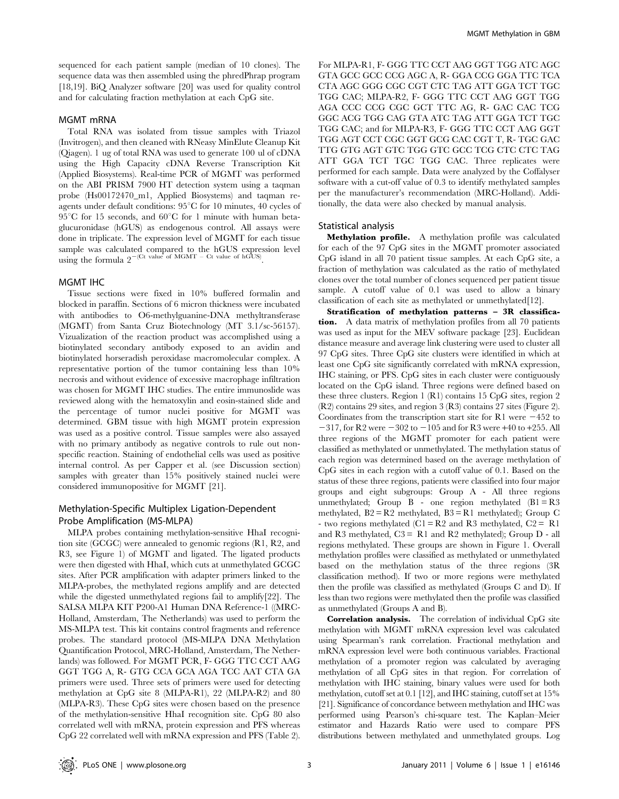sequenced for each patient sample (median of 10 clones). The sequence data was then assembled using the phredPhrap program [18,19]. BiQ Analyzer software [20] was used for quality control and for calculating fraction methylation at each CpG site.

## MGMT mRNA

Total RNA was isolated from tissue samples with Triazol (Invitrogen), and then cleaned with RNeasy MinElute Cleanup Kit (Qiagen). 1 ug of total RNA was used to generate 100 ul of cDNA using the High Capacity cDNA Reverse Transcription Kit (Applied Biosystems). Real-time PCR of MGMT was performed on the ABI PRISM 7900 HT detection system using a taqman probe (Hs00172470\_m1, Applied Biosystems) and taqman reagents under default conditions:  $95^{\circ}$ C for 10 minutes, 40 cycles of  $95^{\circ}$ C for 15 seconds, and  $60^{\circ}$ C for 1 minute with human betaglucuronidase (hGUS) as endogenous control. All assays were done in triplicate. The expression level of MGMT for each tissue sample was calculated compared to the hGUS expression level using the formula  $2^{-(Ct \text{ value of MGMT} - Ct \text{ value of hGUS})}$ .

## MGMT IHC

Tissue sections were fixed in 10% buffered formalin and blocked in paraffin. Sections of 6 micron thickness were incubated with antibodies to O6-methylguanine-DNA methyltransferase (MGMT) from Santa Cruz Biotechnology (MT 3.1/sc-56157). Vizualization of the reaction product was accomplished using a biotinylated secondary antibody exposed to an avidin and biotinylated horseradish peroxidase macromolecular complex. A representative portion of the tumor containing less than 10% necrosis and without evidence of excessive macrophage infiltration was chosen for MGMT IHC studies. The entire immunoslide was reviewed along with the hematoxylin and eosin-stained slide and the percentage of tumor nuclei positive for MGMT was determined. GBM tissue with high MGMT protein expression was used as a positive control. Tissue samples were also assayed with no primary antibody as negative controls to rule out nonspecific reaction. Staining of endothelial cells was used as positive internal control. As per Capper et al. (see Discussion section) samples with greater than 15% positively stained nuclei were considered immunopositive for MGMT [21].

## Methylation-Specific Multiplex Ligation-Dependent Probe Amplification (MS-MLPA)

MLPA probes containing methylation-sensitive HhaI recognition site (GCGC) were annealed to genomic regions (R1, R2, and R3, see Figure 1) of MGMT and ligated. The ligated products were then digested with HhaI, which cuts at unmethylated GCGC sites. After PCR amplification with adapter primers linked to the MLPA-probes, the methylated regions amplify and are detected while the digested unmethylated regions fail to amplify[22]. The SALSA MLPA KIT P200-A1 Human DNA Reference-1 ((MRC-Holland, Amsterdam, The Netherlands) was used to perform the MS-MLPA test. This kit contains control fragments and reference probes. The standard protocol (MS-MLPA DNA Methylation Quantification Protocol, MRC-Holland, Amsterdam, The Netherlands) was followed. For MGMT PCR, F- GGG TTC CCT AAG GGT TGG A, R- GTG CCA GCA AGA TCC AAT CTA GA primers were used. Three sets of primers were used for detecting methylation at CpG site 8 (MLPA-R1), 22 (MLPA-R2) and 80 (MLPA-R3). These CpG sites were chosen based on the presence of the methylation-sensitive HhaI recognition site. CpG 80 also correlated well with mRNA, protein expression and PFS whereas CpG 22 correlated well with mRNA expression and PFS (Table 2).

For MLPA-R1, F- GGG TTC CCT AAG GGT TGG ATC AGC GTA GCC GCC CCG AGC A, R- GGA CCG GGA TTC TCA CTA AGC GGG CGC CGT CTC TAG ATT GGA TCT TGC TGG CAC; MLPA-R2, F- GGG TTC CCT AAG GGT TGG AGA CCC CCG CGC GCT TTC AG, R- GAC CAC TCG GGC ACG TGG CAG GTA ATC TAG ATT GGA TCT TGC TGG CAC; and for MLPA-R3, F- GGG TTC CCT AAG GGT TGG AGT CCT CGC GGT GCG CAC CGT T, R- TGC GAC TTG GTG AGT GTC TGG GTC GCC TCG CTC CTC TAG ATT GGA TCT TGC TGG CAC. Three replicates were performed for each sample. Data were analyzed by the Coffalyser software with a cut-off value of 0.3 to identify methylated samples per the manufacturer's recommendation (MRC-Holland). Additionally, the data were also checked by manual analysis.

#### Statistical analysis

Methylation profile. A methylation profile was calculated for each of the 97 CpG sites in the MGMT promoter associated CpG island in all 70 patient tissue samples. At each CpG site, a fraction of methylation was calculated as the ratio of methylated clones over the total number of clones sequenced per patient tissue sample. A cutoff value of 0.1 was used to allow a binary classification of each site as methylated or unmethylated<sup>[12]</sup>.

Stratification of methylation patterns – 3R classification. A data matrix of methylation profiles from all 70 patients was used as input for the MEV software package [23]. Euclidean distance measure and average link clustering were used to cluster all 97 CpG sites. Three CpG site clusters were identified in which at least one CpG site significantly correlated with mRNA expression, IHC staining, or PFS. CpG sites in each cluster were contiguously located on the CpG island. Three regions were defined based on these three clusters. Region 1 (R1) contains 15 CpG sites, region 2 (R2) contains 29 sites, and region 3 (R3) contains 27 sites (Figure 2). Coordinates from the transcription start site for R1 were  $-452$  to  $-317$ , for R2 were  $-302$  to  $-105$  and for R3 were  $+40$  to  $+255$ . All three regions of the MGMT promoter for each patient were classified as methylated or unmethylated. The methylation status of each region was determined based on the average methylation of CpG sites in each region with a cutoff value of 0.1. Based on the status of these three regions, patients were classified into four major groups and eight subgroups: Group A - All three regions unmethylated; Group  $B$  - one region methylated  $(B1 = R3)$ methylated,  $B2 = R2$  methylated,  $B3 = R1$  methylated); Group C - two regions methylated (C1 =  $R2$  and R3 methylated, C2 = R1 and R3 methylated,  $C3 = R1$  and R2 methylated); Group D - all regions methylated. These groups are shown in Figure 1. Overall methylation profiles were classified as methylated or unmethylated based on the methylation status of the three regions (3R classification method). If two or more regions were methylated then the profile was classified as methylated (Groups C and D). If less than two regions were methylated then the profile was classified as unmethylated (Groups A and B).

Correlation analysis. The correlation of individual CpG site methylation with MGMT mRNA expression level was calculated using Spearman's rank correlation. Fractional methylation and mRNA expression level were both continuous variables. Fractional methylation of a promoter region was calculated by averaging methylation of all CpG sites in that region. For correlation of methylation with IHC staining, binary values were used for both methylation, cutoff set at 0.1 [12], and IHC staining, cutoff set at 15% [21]. Significance of concordance between methylation and IHC was performed using Pearson's chi-square test. The Kaplan–Meier estimator and Hazards Ratio were used to compare PFS distributions between methylated and unmethylated groups. Log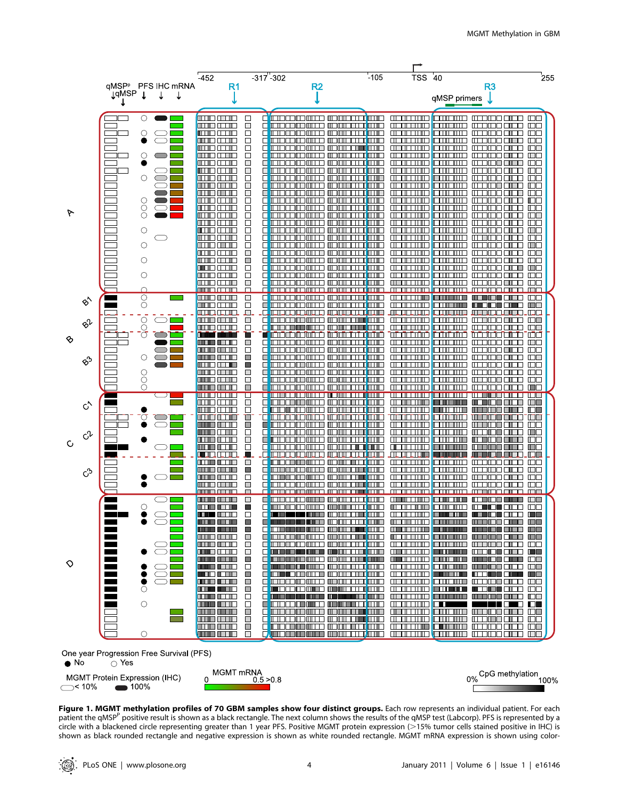





Figure 1. MGMT methylation profiles of 70 GBM samples show four distinct groups. Each row represents an individual patient. For each patient the qMSP<sup>P</sup> positive result is shown as a black rectangle. The next column shows the results of the qMSP test (Labcorp). PFS is represented by a circle with a blackened circle representing greater than 1 year PFS. Positive MGMT protein expression (>15% tumor cells stained positive in IHC) is shown as black rounded rectangle and negative expression is shown as white rounded rectangle. MGMT mRNA expression is shown using color-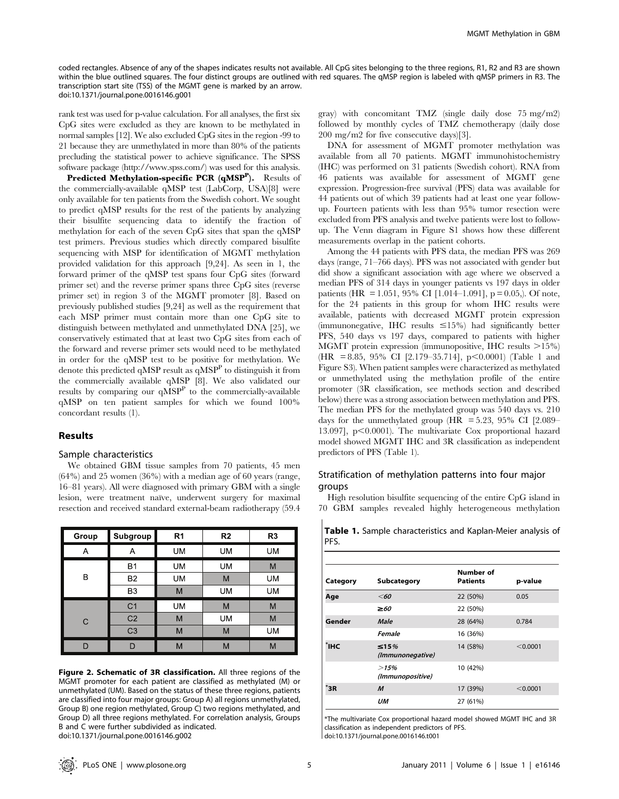coded rectangles. Absence of any of the shapes indicates results not available. All CpG sites belonging to the three regions, R1, R2 and R3 are shown within the blue outlined squares. The four distinct groups are outlined with red squares. The qMSP region is labeled with qMSP primers in R3. The transcription start site (TSS) of the MGMT gene is marked by an arrow. doi:10.1371/journal.pone.0016146.g001

rank test was used for p-value calculation. For all analyses, the first six CpG sites were excluded as they are known to be methylated in normal samples [12]. We also excluded CpG sites in the region -99 to 21 because they are unmethylated in more than 80% of the patients precluding the statistical power to achieve significance. The SPSS software package (http://www.spss.com/) was used for this analysis.

Predicted Methylation-specific PCR  $({\bf qMSP}^{\bf P}).$  Results of the commercially-available qMSP test (LabCorp, USA)[8] were only available for ten patients from the Swedish cohort. We sought to predict qMSP results for the rest of the patients by analyzing their bisulfite sequencing data to identify the fraction of methylation for each of the seven CpG sites that span the qMSP test primers. Previous studies which directly compared bisulfite sequencing with MSP for identification of MGMT methylation provided validation for this approach [9,24]. As seen in 1, the forward primer of the qMSP test spans four CpG sites (forward primer set) and the reverse primer spans three CpG sites (reverse primer set) in region 3 of the MGMT promoter [8]. Based on previously published studies [9,24] as well as the requirement that each MSP primer must contain more than one CpG site to distinguish between methylated and unmethylated DNA [25], we conservatively estimated that at least two CpG sites from each of the forward and reverse primer sets would need to be methylated in order for the qMSP test to be positive for methylation. We denote this predicted qMSP result as  $qMSP<sup>P</sup>$  to distinguish it from the commercially available qMSP [8]. We also validated our results by comparing our  $qMSP<sup>P</sup>$  to the commercially-available qMSP on ten patient samples for which we found 100% concordant results (1).

## Results

#### Sample characteristics

We obtained GBM tissue samples from 70 patients, 45 men  $(64%)$  and 25 women  $(36%)$  with a median age of 60 years (range, 16–81 years). All were diagnosed with primary GBM with a single lesion, were treatment naïve, underwent surgery for maximal resection and received standard external-beam radiotherapy (59.4

| Group | Subgroup       | R <sub>1</sub> | R <sub>2</sub> | R <sub>3</sub> |
|-------|----------------|----------------|----------------|----------------|
| Α     | А              | <b>UM</b>      | UM             | <b>UM</b>      |
|       | B <sub>1</sub> | UM             | <b>UM</b>      | M              |
| В     | B <sub>2</sub> | UM             | M              | UM             |
|       | B <sub>3</sub> | М              | UM             | UM             |
|       | C <sub>1</sub> | <b>UM</b>      | M              | M              |
| С     | C <sub>2</sub> | M              | <b>UM</b>      | M              |
|       | C <sub>3</sub> | M              | M              | <b>UM</b>      |
| ח     |                | М              | M              | M              |

Figure 2. Schematic of 3R classification. All three regions of the MGMT promoter for each patient are classified as methylated (M) or unmethylated (UM). Based on the status of these three regions, patients are classified into four major groups: Group A) all regions unmethylated, Group B) one region methylated, Group C) two regions methylated, and Group D) all three regions methylated. For correlation analysis, Groups B and C were further subdivided as indicated. doi:10.1371/journal.pone.0016146.g002

gray) with concomitant TMZ (single daily dose 75 mg/m2) followed by monthly cycles of TMZ chemotherapy (daily dose 200 mg/m2 for five consecutive days)[3].

DNA for assessment of MGMT promoter methylation was available from all 70 patients. MGMT immunohistochemistry (IHC) was performed on 31 patients (Swedish cohort). RNA from 46 patients was available for assessment of MGMT gene expression. Progression-free survival (PFS) data was available for 44 patients out of which 39 patients had at least one year followup. Fourteen patients with less than 95% tumor resection were excluded from PFS analysis and twelve patients were lost to followup. The Venn diagram in Figure S1 shows how these different measurements overlap in the patient cohorts.

Among the 44 patients with PFS data, the median PFS was 269 days (range, 71–766 days). PFS was not associated with gender but did show a significant association with age where we observed a median PFS of 314 days in younger patients vs 197 days in older patients (HR = 1.051, 95% CI [1.014–1.091], p = 0.05,). Of note, for the 24 patients in this group for whom IHC results were available, patients with decreased MGMT protein expression (immunonegative, IHC results  $\leq$ 15%) had significantly better PFS, 540 days vs 197 days, compared to patients with higher MGMT protein expression (immunopositive, IHC results  $>15\%$ )  $(HR = 8.85, 95\% \text{ CI} [2.179-35.714], p<0.0001)$  (Table 1 and Figure S3). When patient samples were characterized as methylated or unmethylated using the methylation profile of the entire promoter (3R classification, see methods section and described below) there was a strong association between methylation and PFS. The median PFS for the methylated group was 540 days vs. 210 days for the unmethylated group (HR =  $5.23$ ,  $95\%$  CI [2.089– 13.097],  $p<0.0001$ ). The multivariate Cox proportional hazard model showed MGMT IHC and 3R classification as independent predictors of PFS (Table 1).

## Stratification of methylation patterns into four major groups

High resolution bisulfite sequencing of the entire CpG island in 70 GBM samples revealed highly heterogeneous methylation

| Category | Subcategory                     | Number of<br><b>Patients</b> | p-value  |
|----------|---------------------------------|------------------------------|----------|
| Age      | $<$ 60                          | 22 (50%)                     | 0.05     |
|          | $\geq 60$                       | 22 (50%)                     |          |
| Gender   | Male                            | 28 (64%)                     | 0.784    |
|          | Female                          | 16 (36%)                     |          |
| ŤІНС.    | $\leq 15\%$<br>(Immunonegative) | 14 (58%)                     | < 0.0001 |
|          | >15%<br>(Immunopositive)        | 10 (42%)                     |          |
| `3R      | $\boldsymbol{M}$                | 17 (39%)                     | < 0.0001 |
|          | UМ                              | 27 (61%)                     |          |

Table 1. Sample characteristics and Kaplan-Meier analysis of PFS.

\*The multivariate Cox proportional hazard model showed MGMT IHC and 3R classification as independent predictors of PFS.

doi:10.1371/journal.pone.0016146.t001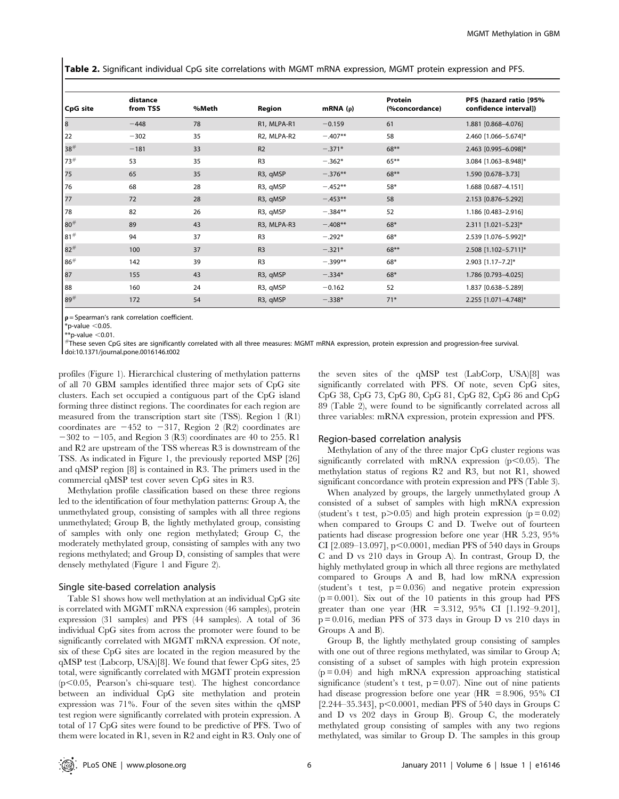Table 2. Significant individual CpG site correlations with MGMT mRNA expression, MGMT protein expression and PFS.

|          | distance |       |                       |            | Protein        | PFS (hazard ratio [95% |
|----------|----------|-------|-----------------------|------------|----------------|------------------------|
| CpG site | from TSS | %Meth | Region                | mRNA $(p)$ | (%concordance) | confidence interval])  |
| 8        | $-448$   | 78    | R1, MLPA-R1           | $-0.159$   | 61             | 1.881 [0.868-4.076]    |
| 22       | $-302$   | 35    | R2, MLPA-R2           | $-.407**$  | 58             | 2.460 [1.066-5.674]*   |
| 38#      | $-181$   | 33    | R <sub>2</sub>        | $-.371*$   | $68**$         | 2.463 [0.995-6.098]*   |
| 73#      | 53       | 35    | R <sub>3</sub>        | $-.362*$   | $65***$        | 3.084 [1.063-8.948]*   |
| 75       | 65       | 35    | R3, qMSP              | $-.376**$  | $68***$        | 1.590 [0.678-3.73]     |
| 76       | 68       | 28    | R3, qMSP              | $-.452**$  | $58*$          | 1.688 [0.687-4.151]    |
| 77       | 72       | 28    | R3, qMSP              | $-.453**$  | 58             | 2.153 [0.876-5.292]    |
| 78       | 82       | 26    | R3, qMSP              | $-384**$   | 52             | 1.186 [0.483-2.916]    |
| $80^{#}$ | 89       | 43    | R3, MLPA-R3           | $-.408**$  | $68*$          | 2.311 [1.021-5.23]*    |
| 81#      | 94       | 37    | R <sub>3</sub>        | $-.292*$   | $68*$          | 2.539 [1.076-5.992]*   |
| $82^{#}$ | 100      | 37    | R <sub>3</sub>        | $-.321*$   | $68***$        | 2.508 [1.102-5.711]*   |
| 86#      | 142      | 39    | R <sub>3</sub>        | $-.399**$  | 68*            | 2.903 [1.17-7.2]*      |
| 87       | 155      | 43    | R <sub>3</sub> , qMSP | $-.334*$   | $68*$          | 1.786 [0.793-4.025]    |
| 88       | 160      | 24    | R3, qMSP              | $-0.162$   | 52             | 1.837 [0.638-5.289]    |
| 89#      | 172      | 54    | R3, qMSP              | $-.338*$   | $71*$          | 2.255 [1.071-4.748]*   |

 $p$  = Spearman's rank correlation coefficient.

 $*$ p-value  $<$ 0.05.<br>\*\*p-value  $<$ 0.01

 $*$ These seven CpG sites are significantly correlated with all three measures: MGMT mRNA expression, protein expression and progression-free survival. doi:10.1371/journal.pone.0016146.t002

profiles (Figure 1). Hierarchical clustering of methylation patterns of all 70 GBM samples identified three major sets of CpG site clusters. Each set occupied a contiguous part of the CpG island forming three distinct regions. The coordinates for each region are measured from the transcription start site (TSS). Region 1 (R1) coordinates are  $-452$  to  $-317$ , Region 2 (R2) coordinates are  $-302$  to  $-105$ , and Region 3 (R3) coordinates are 40 to 255. R1 and R2 are upstream of the TSS whereas R3 is downstream of the TSS. As indicated in Figure 1, the previously reported MSP [26] and qMSP region [8] is contained in R3. The primers used in the commercial qMSP test cover seven CpG sites in R3.

Methylation profile classification based on these three regions led to the identification of four methylation patterns: Group A, the unmethylated group, consisting of samples with all three regions unmethylated; Group B, the lightly methylated group, consisting of samples with only one region methylated; Group C, the moderately methylated group, consisting of samples with any two regions methylated; and Group D, consisting of samples that were densely methylated (Figure 1 and Figure 2).

## Single site-based correlation analysis

Table S1 shows how well methylation at an individual CpG site is correlated with MGMT mRNA expression (46 samples), protein expression (31 samples) and PFS (44 samples). A total of 36 individual CpG sites from across the promoter were found to be significantly correlated with MGMT mRNA expression. Of note, six of these CpG sites are located in the region measured by the qMSP test (Labcorp, USA)[8]. We found that fewer CpG sites, 25 total, were significantly correlated with MGMT protein expression  $(p<0.05,$  Pearson's chi-square test). The highest concordance between an individual CpG site methylation and protein expression was 71%. Four of the seven sites within the qMSP test region were significantly correlated with protein expression. A total of 17 CpG sites were found to be predictive of PFS. Two of them were located in R1, seven in R2 and eight in R3. Only one of the seven sites of the qMSP test (LabCorp, USA)[8] was significantly correlated with PFS. Of note, seven CpG sites, CpG 38, CpG 73, CpG 80, CpG 81, CpG 82, CpG 86 and CpG 89 (Table 2), were found to be significantly correlated across all three variables: mRNA expression, protein expression and PFS.

## Region-based correlation analysis

Methylation of any of the three major CpG cluster regions was significantly correlated with mRNA expression  $(p<0.05)$ . The methylation status of regions R2 and R3, but not R1, showed significant concordance with protein expression and PFS (Table 3).

When analyzed by groups, the largely unmethylated group A consisted of a subset of samples with high mRNA expression (student's t test,  $p > 0.05$ ) and high protein expression ( $p = 0.02$ ) when compared to Groups C and D. Twelve out of fourteen patients had disease progression before one year (HR 5.23, 95% CI  $[2.089-13.097]$ ,  $p<0.0001$ , median PFS of 540 days in Groups C and D vs 210 days in Group A). In contrast, Group D, the highly methylated group in which all three regions are methylated compared to Groups A and B, had low mRNA expression (student's t test,  $p = 0.036$ ) and negative protein expression  $(p = 0.001)$ . Six out of the 10 patients in this group had PFS greater than one year (HR = 3.312, 95% CI  $[1.192-9.201]$ ,  $p = 0.016$ , median PFS of 373 days in Group D vs 210 days in Groups A and B).

Group B, the lightly methylated group consisting of samples with one out of three regions methylated, was similar to Group A; consisting of a subset of samples with high protein expression  $(p = 0.04)$  and high mRNA expression approaching statistical significance (student's t test,  $p = 0.07$ ). Nine out of nine patients had disease progression before one year (HR = 8.906, 95% CI [2.244–35.343],  $p<0.0001$ , median PFS of 540 days in Groups C and D vs 202 days in Group B). Group C, the moderately methylated group consisting of samples with any two regions methylated, was similar to Group D. The samples in this group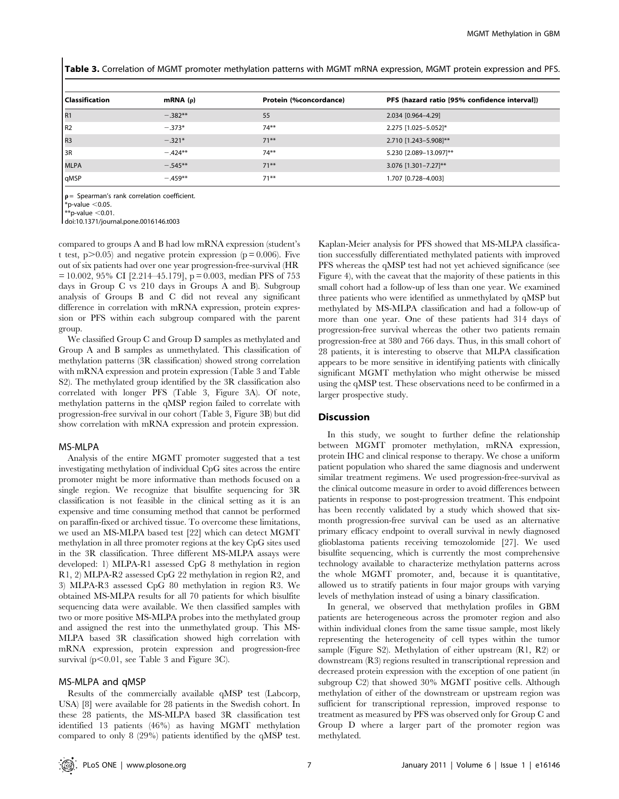Table 3. Correlation of MGMT promoter methylation patterns with MGMT mRNA expression, MGMT protein expression and PFS.

| <b>Classification</b> | mRNA $(\rho)$ | Protein (%concordance) | PFS (hazard ratio [95% confidence interval]) |
|-----------------------|---------------|------------------------|----------------------------------------------|
| l R1                  | $-.382**$     | 55                     | 2.034 [0.964-4.29]                           |
| l R <sub>2</sub>      | $-.373*$      | $74***$                | 2.275 [1.025-5.052]*                         |
| I <sub>R3</sub>       | $-.321*$      | $71***$                | 2.710 [1.243-5.908]**                        |
| l 3R                  | $-.424**$     | $74***$                | 5.230 [2.089-13.097]**                       |
| <b>MLPA</b>           | $-.545**$     | $71***$                | 3.076 [1.301-7.27]**                         |
| qMSP                  | $-.459**$     | $71***$                | 1.707 [0.728-4.003]                          |

 $p =$  Spearman's rank correlation coefficient.  $*$ p-value  $<$ 0.05.  $\frac{1}{10}$ \*p-value <0.01

doi:10.1371/journal.pone.0016146.t003

compared to groups A and B had low mRNA expression (student's t test,  $p > 0.05$ ) and negative protein expression ( $p = 0.006$ ). Five out of six patients had over one year progression-free-survival (HR  $= 10.002$ , 95% CI [2.214–45.179], p = 0.003, median PFS of 753 days in Group C vs 210 days in Groups A and B). Subgroup analysis of Groups B and C did not reveal any significant difference in correlation with mRNA expression, protein expression or PFS within each subgroup compared with the parent group.

We classified Group C and Group D samples as methylated and Group A and B samples as unmethylated. This classification of methylation patterns (3R classification) showed strong correlation with mRNA expression and protein expression (Table 3 and Table S2). The methylated group identified by the 3R classification also correlated with longer PFS (Table 3, Figure 3A). Of note, methylation patterns in the qMSP region failed to correlate with progression-free survival in our cohort (Table 3, Figure 3B) but did show correlation with mRNA expression and protein expression.

#### MS-MLPA

Analysis of the entire MGMT promoter suggested that a test investigating methylation of individual CpG sites across the entire promoter might be more informative than methods focused on a single region. We recognize that bisulfite sequencing for 3R classification is not feasible in the clinical setting as it is an expensive and time consuming method that cannot be performed on paraffin-fixed or archived tissue. To overcome these limitations, we used an MS-MLPA based test [22] which can detect MGMT methylation in all three promoter regions at the key CpG sites used in the 3R classification. Three different MS-MLPA assays were developed: 1) MLPA-R1 assessed CpG 8 methylation in region R1, 2) MLPA-R2 assessed CpG 22 methylation in region R2, and 3) MLPA-R3 assessed CpG 80 methylation in region R3. We obtained MS-MLPA results for all 70 patients for which bisulfite sequencing data were available. We then classified samples with two or more positive MS-MLPA probes into the methylated group and assigned the rest into the unmethylated group. This MS-MLPA based 3R classification showed high correlation with mRNA expression, protein expression and progression-free survival ( $p<0.01$ , see Table 3 and Figure 3C).

## MS-MLPA and qMSP

Results of the commercially available qMSP test (Labcorp, USA) [8] were available for 28 patients in the Swedish cohort. In these 28 patients, the MS-MLPA based 3R classification test identified 13 patients (46%) as having MGMT methylation compared to only 8 (29%) patients identified by the qMSP test.

Kaplan-Meier analysis for PFS showed that MS-MLPA classification successfully differentiated methylated patients with improved PFS whereas the qMSP test had not yet achieved significance (see Figure 4), with the caveat that the majority of these patients in this small cohort had a follow-up of less than one year. We examined three patients who were identified as unmethylated by qMSP but methylated by MS-MLPA classification and had a follow-up of more than one year. One of these patients had 314 days of progression-free survival whereas the other two patients remain progression-free at 380 and 766 days. Thus, in this small cohort of 28 patients, it is interesting to observe that MLPA classification appears to be more sensitive in identifying patients with clinically significant MGMT methylation who might otherwise be missed using the qMSP test. These observations need to be confirmed in a larger prospective study.

#### Discussion

In this study, we sought to further define the relationship between MGMT promoter methylation, mRNA expression, protein IHC and clinical response to therapy. We chose a uniform patient population who shared the same diagnosis and underwent similar treatment regimens. We used progression-free-survival as the clinical outcome measure in order to avoid differences between patients in response to post-progression treatment. This endpoint has been recently validated by a study which showed that sixmonth progression-free survival can be used as an alternative primary efficacy endpoint to overall survival in newly diagnosed glioblastoma patients receiving temozolomide [27]. We used bisulfite sequencing, which is currently the most comprehensive technology available to characterize methylation patterns across the whole MGMT promoter, and, because it is quantitative, allowed us to stratify patients in four major groups with varying levels of methylation instead of using a binary classification.

In general, we observed that methylation profiles in GBM patients are heterogeneous across the promoter region and also within individual clones from the same tissue sample, most likely representing the heterogeneity of cell types within the tumor sample (Figure S2). Methylation of either upstream (R1, R2) or downstream (R3) regions resulted in transcriptional repression and decreased protein expression with the exception of one patient (in subgroup C2) that showed 30% MGMT positive cells. Although methylation of either of the downstream or upstream region was sufficient for transcriptional repression, improved response to treatment as measured by PFS was observed only for Group C and Group D where a larger part of the promoter region was methylated.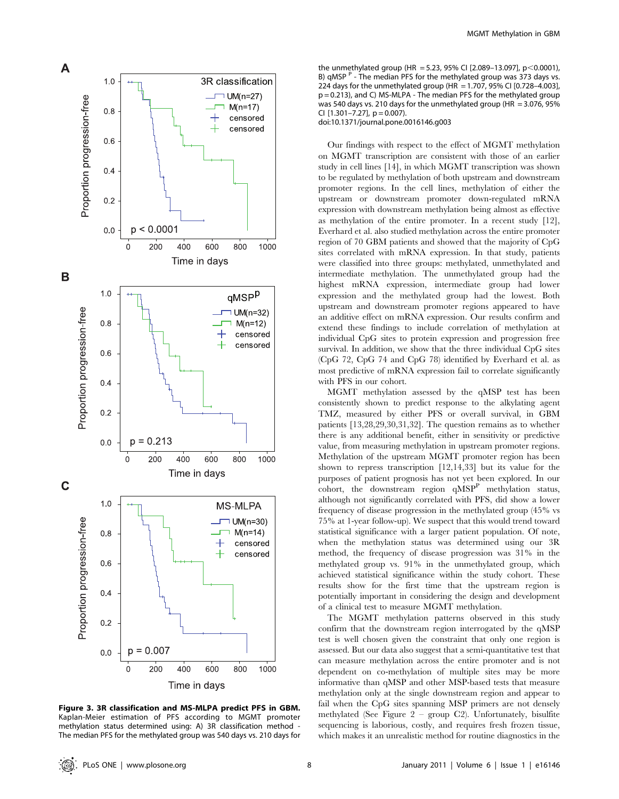

Figure 3. 3R classification and MS-MLPA predict PFS in GBM. Kaplan-Meier estimation of PFS according to MGMT promoter methylation status determined using: A) 3R classification method - The median PFS for the methylated group was 540 days vs. 210 days for

the unmethylated group (HR = 5.23, 95% CI [2.089-13.097], p < 0.0001), B) qMSP  $P$  - The median PFS for the methylated group was 373 days vs. 224 days for the unmethylated group (HR = 1.707, 95% CI  $[0.728 - 4.003]$ , p = 0.213), and C) MS-MLPA - The median PFS for the methylated group was 540 days vs. 210 days for the unmethylated group (HR =  $3.076$ , 95% CI  $[1.301 - 7.27]$ ,  $p = 0.007$ ).

doi:10.1371/journal.pone.0016146.g003

Our findings with respect to the effect of MGMT methylation on MGMT transcription are consistent with those of an earlier study in cell lines [14], in which MGMT transcription was shown to be regulated by methylation of both upstream and downstream promoter regions. In the cell lines, methylation of either the upstream or downstream promoter down-regulated mRNA expression with downstream methylation being almost as effective as methylation of the entire promoter. In a recent study [12], Everhard et al. also studied methylation across the entire promoter region of 70 GBM patients and showed that the majority of CpG sites correlated with mRNA expression. In that study, patients were classified into three groups: methylated, unmethylated and intermediate methylation. The unmethylated group had the highest mRNA expression, intermediate group had lower expression and the methylated group had the lowest. Both upstream and downstream promoter regions appeared to have an additive effect on mRNA expression. Our results confirm and extend these findings to include correlation of methylation at individual CpG sites to protein expression and progression free survival. In addition, we show that the three individual CpG sites (CpG 72, CpG 74 and CpG 78) identified by Everhard et al. as most predictive of mRNA expression fail to correlate significantly with PFS in our cohort.

MGMT methylation assessed by the qMSP test has been consistently shown to predict response to the alkylating agent TMZ, measured by either PFS or overall survival, in GBM patients [13,28,29,30,31,32]. The question remains as to whether there is any additional benefit, either in sensitivity or predictive value, from measuring methylation in upstream promoter regions. Methylation of the upstream MGMT promoter region has been shown to repress transcription [12,14,33] but its value for the purposes of patient prognosis has not yet been explored. In our  $\overrightarrow{c}$  cohort, the downstream region  $q\overrightarrow{MSP}^P$  methylation status, although not significantly correlated with PFS, did show a lower frequency of disease progression in the methylated group (45% vs 75% at 1-year follow-up). We suspect that this would trend toward statistical significance with a larger patient population. Of note, when the methylation status was determined using our 3R method, the frequency of disease progression was 31% in the methylated group vs. 91% in the unmethylated group, which achieved statistical significance within the study cohort. These results show for the first time that the upstream region is potentially important in considering the design and development of a clinical test to measure MGMT methylation.

The MGMT methylation patterns observed in this study confirm that the downstream region interrogated by the qMSP test is well chosen given the constraint that only one region is assessed. But our data also suggest that a semi-quantitative test that can measure methylation across the entire promoter and is not dependent on co-methylation of multiple sites may be more informative than qMSP and other MSP-based tests that measure methylation only at the single downstream region and appear to fail when the CpG sites spanning MSP primers are not densely methylated (See Figure 2 – group C2). Unfortunately, bisulfite sequencing is laborious, costly, and requires fresh frozen tissue, which makes it an unrealistic method for routine diagnostics in the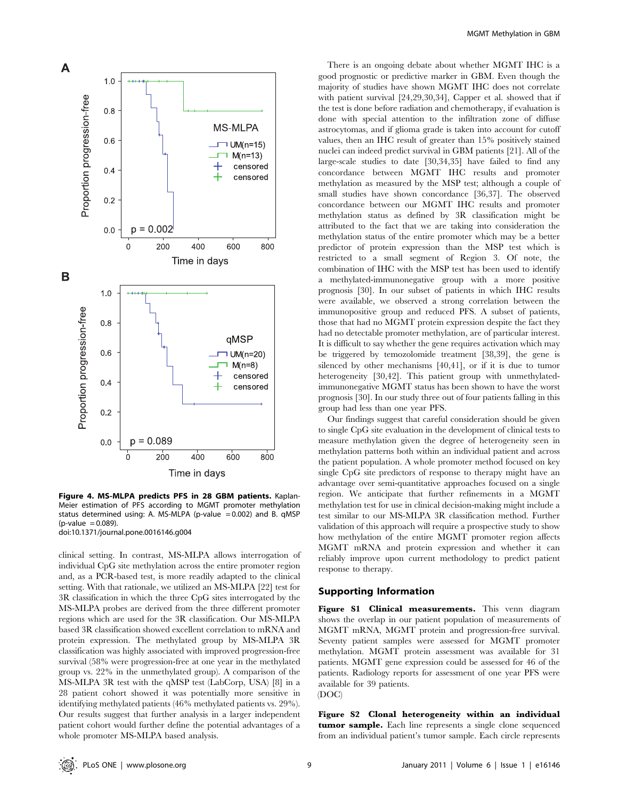

Figure 4. MS-MLPA predicts PFS in 28 GBM patients. Kaplan-Meier estimation of PFS according to MGMT promoter methylation status determined using: A. MS-MLPA (p-value  $= 0.002$ ) and B. qMSP  $(p-value = 0.089)$ .

doi:10.1371/journal.pone.0016146.g004

clinical setting. In contrast, MS-MLPA allows interrogation of individual CpG site methylation across the entire promoter region and, as a PCR-based test, is more readily adapted to the clinical setting. With that rationale, we utilized an MS-MLPA [22] test for 3R classification in which the three CpG sites interrogated by the MS-MLPA probes are derived from the three different promoter regions which are used for the 3R classification. Our MS-MLPA based 3R classification showed excellent correlation to mRNA and protein expression. The methylated group by MS-MLPA 3R classification was highly associated with improved progression-free survival (58% were progression-free at one year in the methylated group vs. 22% in the unmethylated group). A comparison of the MS-MLPA 3R test with the qMSP test (LabCorp, USA) [8] in a 28 patient cohort showed it was potentially more sensitive in identifying methylated patients (46% methylated patients vs. 29%). Our results suggest that further analysis in a larger independent patient cohort would further define the potential advantages of a whole promoter MS-MLPA based analysis.

There is an ongoing debate about whether MGMT IHC is a good prognostic or predictive marker in GBM. Even though the majority of studies have shown MGMT IHC does not correlate with patient survival [24,29,30,34], Capper et al. showed that if the test is done before radiation and chemotherapy, if evaluation is done with special attention to the infiltration zone of diffuse astrocytomas, and if glioma grade is taken into account for cutoff values, then an IHC result of greater than 15% positively stained nuclei can indeed predict survival in GBM patients [21]. All of the large-scale studies to date [30,34,35] have failed to find any concordance between MGMT IHC results and promoter methylation as measured by the MSP test; although a couple of small studies have shown concordance [36,37]. The observed concordance between our MGMT IHC results and promoter methylation status as defined by 3R classification might be attributed to the fact that we are taking into consideration the methylation status of the entire promoter which may be a better predictor of protein expression than the MSP test which is restricted to a small segment of Region 3. Of note, the combination of IHC with the MSP test has been used to identify a methylated-immunonegative group with a more positive prognosis [30]. In our subset of patients in which IHC results were available, we observed a strong correlation between the immunopositive group and reduced PFS. A subset of patients, those that had no MGMT protein expression despite the fact they had no detectable promoter methylation, are of particular interest. It is difficult to say whether the gene requires activation which may be triggered by temozolomide treatment [38,39], the gene is silenced by other mechanisms [40,41], or if it is due to tumor heterogeneity [30,42]. This patient group with unmethylatedimmunonegative MGMT status has been shown to have the worst prognosis [30]. In our study three out of four patients falling in this group had less than one year PFS.

Our findings suggest that careful consideration should be given to single CpG site evaluation in the development of clinical tests to measure methylation given the degree of heterogeneity seen in methylation patterns both within an individual patient and across the patient population. A whole promoter method focused on key single CpG site predictors of response to therapy might have an advantage over semi-quantitative approaches focused on a single region. We anticipate that further refinements in a MGMT methylation test for use in clinical decision-making might include a test similar to our MS-MLPA 3R classification method. Further validation of this approach will require a prospective study to show how methylation of the entire MGMT promoter region affects MGMT mRNA and protein expression and whether it can reliably improve upon current methodology to predict patient response to therapy.

## Supporting Information

Figure S1 Clinical measurements. This venn diagram shows the overlap in our patient population of measurements of MGMT mRNA, MGMT protein and progression-free survival. Seventy patient samples were assessed for MGMT promoter methylation. MGMT protein assessment was available for 31 patients. MGMT gene expression could be assessed for 46 of the patients. Radiology reports for assessment of one year PFS were available for 39 patients. (DOC)

Figure S2 Clonal heterogeneity within an individual tumor sample. Each line represents a single clone sequenced from an individual patient's tumor sample. Each circle represents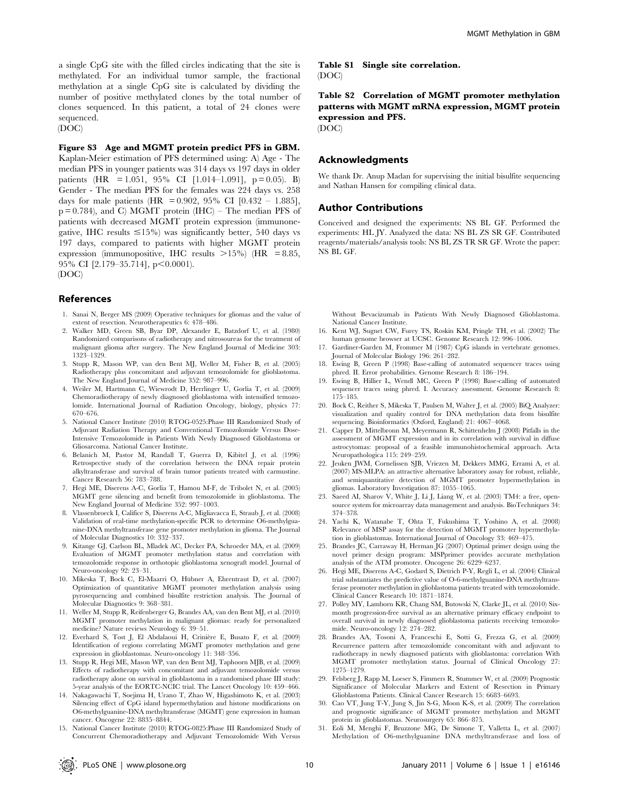a single CpG site with the filled circles indicating that the site is methylated. For an individual tumor sample, the fractional methylation at a single CpG site is calculated by dividing the number of positive methylated clones by the total number of clones sequenced. In this patient, a total of 24 clones were sequenced. (DOC)

Figure S3 Age and MGMT protein predict PFS in GBM. Kaplan-Meier estimation of PFS determined using: A) Age - The median PFS in younger patients was 314 days vs 197 days in older patients (HR = 1.051, 95% CI [1.014–1.091], p = 0.05). B) Gender - The median PFS for the females was 224 days vs. 258 days for male patients (HR = 0.902, 95% CI [0.432 – 1.885],  $p = 0.784$ , and C) MGMT protein (IHC) – The median PFS of patients with decreased MGMT protein expression (immunonegative, IHC results  $\leq 15\%$ ) was significantly better, 540 days vs 197 days, compared to patients with higher MGMT protein expression (immunopositive, IHC results  $>15\%$ ) (HR = 8.85, 95% CI [2.179-35.714], p<0.0001). (DOC)

## References

- 1. Sanai N, Berger MS (2009) Operative techniques for gliomas and the value of extent of resection. Neurotherapeutics 6: 478–486.
- 2. Walker MD, Green SB, Byar DP, Alexander E, Batzdorf U, et al. (1980) Randomized comparisons of radiotherapy and nitrosoureas for the treatment of malignant glioma after surgery. The New England Journal of Medicine 303: 1323–1329.
- 3. Stupp R, Mason WP, van den Bent MJ, Weller M, Fisher B, et al. (2005) Radiotherapy plus concomitant and adjuvant temozolomide for glioblastoma. The New England Journal of Medicine 352: 987–996.
- 4. Weiler M, Hartmann C, Wiewrodt D, Herrlinger U, Gorlia T, et al. (2009) Chemoradiotherapy of newly diagnosed glioblastoma with intensified temozolomide. International Journal of Radiation Oncology, biology, physics 77: 670–676.
- 5. National Cancer Institute (2010) RTOG-0525:Phase III Randomized Study of Adjuvant Radiation Therapy and Conventional Temozolomide Versus Dose-Intensive Temozolomide in Patients With Newly Diagnosed Glioblastoma or Gliosarcoma. National Cancer Institute.
- 6. Belanich M, Pastor M, Randall T, Guerra D, Kibitel J, et al. (1996) Retrospective study of the correlation between the DNA repair protein alkyltransferase and survival of brain tumor patients treated with carmustine. Cancer Research 56: 783–788.
- 7. Hegi ME, Diserens A-C, Gorlia T, Hamou M-F, de Tribolet N, et al. (2005) MGMT gene silencing and benefit from temozolomide in glioblastoma. The New England Journal of Medicine 352: 997–1003.
- 8. Vlassenbroeck I, Califice S, Diserens A-C, Migliavacca E, Straub J, et al. (2008) Validation of real-time methylation-specific PCR to determine O6-methylguanine-DNA methyltransferase gene promoter methylation in glioma. The Journal of Molecular Diagnostics 10: 332–337.
- 9. Kitange GJ, Carlson BL, Mladek AC, Decker PA, Schroeder MA, et al. (2009) Evaluation of MGMT promoter methylation status and correlation with temozolomide response in orthotopic glioblastoma xenograft model. Journal of Neuro-oncology 92: 23–31.
- 10. Mikeska T, Bock C, El-Maarri O, Hübner A, Ehrentraut D, et al. (2007) Optimization of quantitative MGMT promoter methylation analysis using pyrosequencing and combined bisulfite restriction analysis. The Journal of Molecular Diagnostics 9: 368–381.
- 11. Weller M, Stupp R, Reifenberger G, Brandes AA, van den Bent MJ, et al. (2010) MGMT promoter methylation in malignant gliomas: ready for personalized medicine? Nature reviews Neurology 6: 39–51.
- 12. Everhard S, Tost J, El Abdalaoui H, Crinière E, Busato F, et al. (2009) Identification of regions correlating MGMT promoter methylation and gene expression in glioblastomas. Neuro-oncology 11: 348–356.
- 13. Stupp R, Hegi ME, Mason WP, van den Bent MJ, Taphoorn MJB, et al. (2009) Effects of radiotherapy with concomitant and adjuvant temozolomide versus radiotherapy alone on survival in glioblastoma in a randomised phase III study: 5-year analysis of the EORTC-NCIC trial. The Lancet Oncology 10: 459–466.
- 14. Nakagawachi T, Soejima H, Urano T, Zhao W, Higashimoto K, et al. (2003) Silencing effect of CpG island hypermethylation and histone modifications on O6-methylguanine-DNA methyltransferase (MGMT) gene expression in human cancer. Oncogene 22: 8835–8844.
- 15. National Cancer Institute (2010) RTOG-0825:Phase III Randomized Study of Concurrent Chemoradiotherapy and Adjuvant Temozolomide With Versus

Table S1 Single site correlation. (DOC)

Table S2 Correlation of MGMT promoter methylation patterns with MGMT mRNA expression, MGMT protein expression and PFS.

(DOC)

## Acknowledgments

We thank Dr. Anup Madan for supervising the initial bisulfite sequencing and Nathan Hansen for compiling clinical data.

## Author Contributions

Conceived and designed the experiments: NS BL GF. Performed the experiments: HL JY. Analyzed the data: NS BL ZS SR GF. Contributed reagents/materials/analysis tools: NS BL ZS TR SR GF. Wrote the paper: NS BL GF.

Without Bevacizumab in Patients With Newly Diagnosed Glioblastoma. National Cancer Institute.

- 16. Kent WJ, Sugnet CW, Furey TS, Roskin KM, Pringle TH, et al. (2002) The human genome browser at UCSC. Genome Research 12: 996–1006.
- 17. Gardiner-Garden M, Frommer M (1987) CpG islands in vertebrate genomes. Journal of Molecular Biology 196: 261–282.
- 18. Ewing B, Green P (1998) Base-calling of automated sequencer traces using phred. II. Error probabilities. Genome Research 8: 186–194.
- 19. Ewing B, Hillier L, Wendl MC, Green P (1998) Base-calling of automated sequencer traces using phred. I. Accuracy assessment. Genome Research 8: 175–185.
- 20. Bock C, Reither S, Mikeska T, Paulsen M, Walter J, et al. (2005) BiQ Analyzer: visualization and quality control for DNA methylation data from bisulfite sequencing. Bioinformatics (Oxford, England) 21: 4067–4068.
- 21. Capper D, Mittelbronn M, Meyermann R, Schittenhelm J (2008) Pitfalls in the assessment of MGMT expression and in its correlation with survival in diffuse astrocytomas: proposal of a feasible immunohistochemical approach. Acta Neuropathologica 115: 249–259.
- 22. Jeuken JWM, Cornelissen SJB, Vriezen M, Dekkers MMG, Errami A, et al. (2007) MS-MLPA: an attractive alternative laboratory assay for robust, reliable, and semiquantitative detection of MGMT promoter hypermethylation in gliomas. Laboratory Investigation 87: 1055–1065.
- 23. Saeed AI, Sharov V, White J, Li J, Liang W, et al. (2003) TM4: a free, opensource system for microarray data management and analysis. BioTechniques 34: 374–378.
- 24. Yachi K, Watanabe T, Ohta T, Fukushima T, Yoshino A, et al. (2008) Relevance of MSP assay for the detection of MGMT promoter hypermethylation in glioblastomas. International Journal of Oncology 33: 469–475.
- 25. Brandes JC, Carraway H, Herman JG (2007) Optimal primer design using the novel primer design program: MSPprimer provides accurate methylation analysis of the ATM promoter. Oncogene 26: 6229–6237.
- 26. Hegi ME, Diserens A-C, Godard S, Dietrich P-Y, Regli L, et al. (2004) Clinical trial substantiates the predictive value of O-6-methylguanine-DNA methyltransferase promoter methylation in glioblastoma patients treated with temozolomide. Clinical Cancer Research 10: 1871–1874.
- 27. Polley MY, Lamborn KR, Chang SM, Butowski N, Clarke JL, et al. (2010) Sixmonth progression-free survival as an alternative primary efficacy endpoint to overall survival in newly diagnosed glioblastoma patients receiving temozolomide. Neuro-oncology 12: 274–282.
- 28. Brandes AA, Tosoni A, Franceschi E, Sotti G, Frezza G, et al. (2009) Recurrence pattern after temozolomide concomitant with and adjuvant to radiotherapy in newly diagnosed patients with glioblastoma: correlation With MGMT promoter methylation status. Journal of Clinical Oncology 27: 1275–1279.
- 29. Felsberg J, Rapp M, Loeser S, Fimmers R, Stummer W, et al. (2009) Prognostic Significance of Molecular Markers and Extent of Resection in Primary Glioblastoma Patients. Clinical Cancer Research 15: 6683–6693.
- 30. Cao VT, Jung T-Y, Jung S, Jin S-G, Moon K-S, et al. (2009) The correlation and prognostic significance of MGMT promoter methylation and MGMT protein in glioblastomas. Neurosurgery 65: 866–875.
- 31. Eoli M, Menghi F, Bruzzone MG, De Simone T, Valletta L, et al. (2007) Methylation of O6-methylguanine DNA methyltransferase and loss of